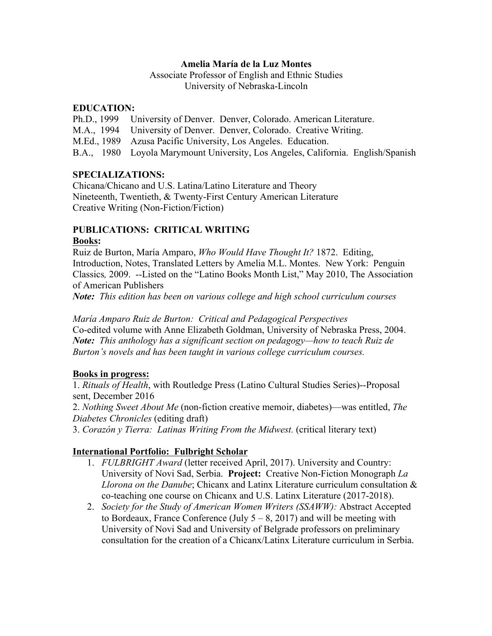## **Amelia María de la Luz Montes**

Associate Professor of English and Ethnic Studies University of Nebraska-Lincoln

## **EDUCATION:**

Ph.D., 1999 University of Denver. Denver, Colorado. American Literature.

- M.A., 1994 University of Denver. Denver, Colorado. Creative Writing.
- M.Ed., 1989 Azusa Pacific University, Los Angeles. Education.
- B.A., 1980 Loyola Marymount University, Los Angeles, California. English/Spanish

# **SPECIALIZATIONS:**

Chicana/Chicano and U.S. Latina/Latino Literature and Theory Nineteenth, Twentieth, & Twenty-First Century American Literature Creative Writing (Non-Fiction/Fiction)

## **PUBLICATIONS: CRITICAL WRITING Books:**

Ruiz de Burton, María Amparo, *Who Would Have Thought It?* 1872. Editing, Introduction, Notes, Translated Letters by Amelia M.L. Montes. New York: Penguin Classics*,* 2009. --Listed on the "Latino Books Month List," May 2010, The Association of American Publishers

*Note: This edition has been on various college and high school curriculum courses*

*María Amparo Ruiz de Burton: Critical and Pedagogical Perspectives*  Co-edited volume with Anne Elizabeth Goldman, University of Nebraska Press, 2004. *Note: This anthology has a significant section on pedagogy—how to teach Ruiz de Burton's novels and has been taught in various college curriculum courses.* 

# **Books in progress:**

1. *Rituals of Health*, with Routledge Press (Latino Cultural Studies Series)--Proposal sent, December 2016

2. *Nothing Sweet About Me* (non-fiction creative memoir, diabetes)—was entitled, *The Diabetes Chronicles* (editing draft)

3. *Corazón y Tierra: Latinas Writing From the Midwest.* (critical literary text)

# **International Portfolio: Fulbright Scholar**

- 1. *FULBRIGHT Award* (letter received April, 2017). University and Country: University of Novi Sad, Serbia. **Project:** Creative Non-Fiction Monograph *La Llorona on the Danube*; Chicanx and Latinx Literature curriculum consultation & co-teaching one course on Chicanx and U.S. Latinx Literature (2017-2018).
- 2. *Society for the Study of American Women Writers (SSAWW):* Abstract Accepted to Bordeaux, France Conference (July  $5 - 8$ , 2017) and will be meeting with University of Novi Sad and University of Belgrade professors on preliminary consultation for the creation of a Chicanx/Latinx Literature curriculum in Serbia.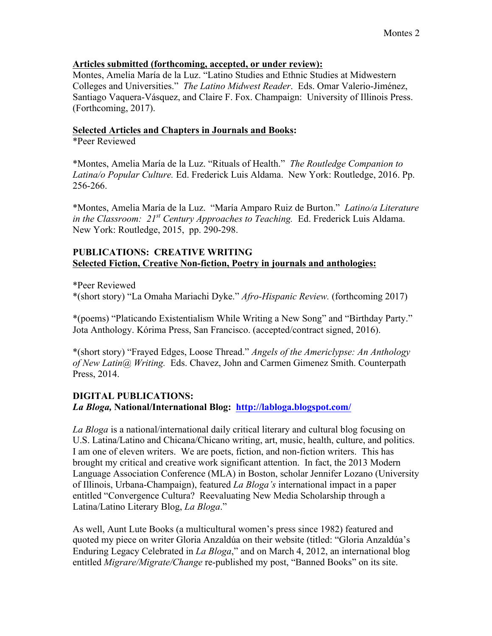### **Articles submitted (forthcoming, accepted, or under review):**

Montes, Amelia María de la Luz. "Latino Studies and Ethnic Studies at Midwestern Colleges and Universities." *The Latino Midwest Reader*. Eds. Omar Valerio-Jiménez, Santiago Vaquera-Vásquez, and Claire F. Fox. Champaign: University of Illinois Press. (Forthcoming, 2017).

## **Selected Articles and Chapters in Journals and Books:**

\*Peer Reviewed

\*Montes, Amelia María de la Luz. "Rituals of Health." *The Routledge Companion to Latina/o Popular Culture.* Ed. Frederick Luis Aldama. New York: Routledge, 2016. Pp. 256-266.

\*Montes, Amelia María de la Luz. "María Amparo Ruiz de Burton." *Latino/a Literature in the Classroom: 21st Century Approaches to Teaching.* Ed. Frederick Luis Aldama. New York: Routledge, 2015, pp. 290-298.

## **PUBLICATIONS: CREATIVE WRITING Selected Fiction, Creative Non-fiction, Poetry in journals and anthologies:**

\*Peer Reviewed

\*(short story) "La Omaha Mariachi Dyke." *Afro-Hispanic Review.* (forthcoming 2017)

\*(poems) "Platicando Existentialism While Writing a New Song" and "Birthday Party." Jota Anthology. Kórima Press, San Francisco. (accepted/contract signed, 2016).

\*(short story) "Frayed Edges, Loose Thread." *Angels of the Americlypse: An Anthology of New Latin@ Writing.* Eds. Chavez, John and Carmen Gimenez Smith. Counterpath Press, 2014.

# **DIGITAL PUBLICATIONS:**

*La Bloga,* **National/International Blog: http://labloga.blogspot.com/**

*La Bloga* is a national/international daily critical literary and cultural blog focusing on U.S. Latina/Latino and Chicana/Chicano writing, art, music, health, culture, and politics. I am one of eleven writers. We are poets, fiction, and non-fiction writers. This has brought my critical and creative work significant attention. In fact, the 2013 Modern Language Association Conference (MLA) in Boston, scholar Jennifer Lozano (University of Illinois, Urbana-Champaign), featured *La Bloga's* international impact in a paper entitled "Convergence Cultura? Reevaluating New Media Scholarship through a Latina/Latino Literary Blog, *La Bloga*."

As well, Aunt Lute Books (a multicultural women's press since 1982) featured and quoted my piece on writer Gloria Anzaldúa on their website (titled: "Gloria Anzaldúa's Enduring Legacy Celebrated in *La Bloga*," and on March 4, 2012, an international blog entitled *Migrare/Migrate/Change* re-published my post, "Banned Books" on its site.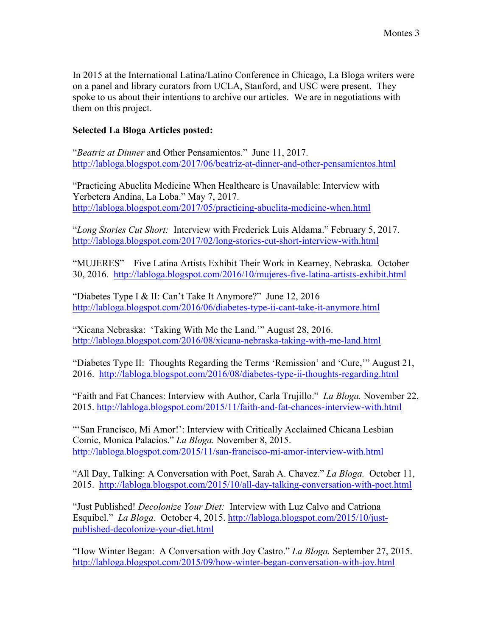In 2015 at the International Latina/Latino Conference in Chicago, La Bloga writers were on a panel and library curators from UCLA, Stanford, and USC were present. They spoke to us about their intentions to archive our articles. We are in negotiations with them on this project.

## **Selected La Bloga Articles posted:**

"*Beatriz at Dinner* and Other Pensamientos." June 11, 2017. http://labloga.blogspot.com/2017/06/beatriz-at-dinner-and-other-pensamientos.html

"Practicing Abuelita Medicine When Healthcare is Unavailable: Interview with Yerbetera Andina, La Loba." May 7, 2017. http://labloga.blogspot.com/2017/05/practicing-abuelita-medicine-when.html

"*Long Stories Cut Short:* Interview with Frederick Luis Aldama." February 5, 2017. http://labloga.blogspot.com/2017/02/long-stories-cut-short-interview-with.html

"MUJERES"—Five Latina Artists Exhibit Their Work in Kearney, Nebraska. October 30, 2016. http://labloga.blogspot.com/2016/10/mujeres-five-latina-artists-exhibit.html

"Diabetes Type I & II: Can't Take It Anymore?" June 12, 2016 http://labloga.blogspot.com/2016/06/diabetes-type-ii-cant-take-it-anymore.html

"Xicana Nebraska: 'Taking With Me the Land.'" August 28, 2016. http://labloga.blogspot.com/2016/08/xicana-nebraska-taking-with-me-land.html

"Diabetes Type II: Thoughts Regarding the Terms 'Remission' and 'Cure,'" August 21, 2016. http://labloga.blogspot.com/2016/08/diabetes-type-ii-thoughts-regarding.html

"Faith and Fat Chances: Interview with Author, Carla Trujillo." *La Bloga.* November 22, 2015. http://labloga.blogspot.com/2015/11/faith-and-fat-chances-interview-with.html

"'San Francisco, Mi Amor!': Interview with Critically Acclaimed Chicana Lesbian Comic, Monica Palacios." *La Bloga.* November 8, 2015. http://labloga.blogspot.com/2015/11/san-francisco-mi-amor-interview-with.html

"All Day, Talking: A Conversation with Poet, Sarah A. Chavez." *La Bloga.* October 11, 2015. http://labloga.blogspot.com/2015/10/all-day-talking-conversation-with-poet.html

"Just Published! *Decolonize Your Diet:* Interview with Luz Calvo and Catriona Esquibel." *La Bloga.* October 4, 2015. http://labloga.blogspot.com/2015/10/justpublished-decolonize-your-diet.html

"How Winter Began: A Conversation with Joy Castro." *La Bloga.* September 27, 2015. http://labloga.blogspot.com/2015/09/how-winter-began-conversation-with-joy.html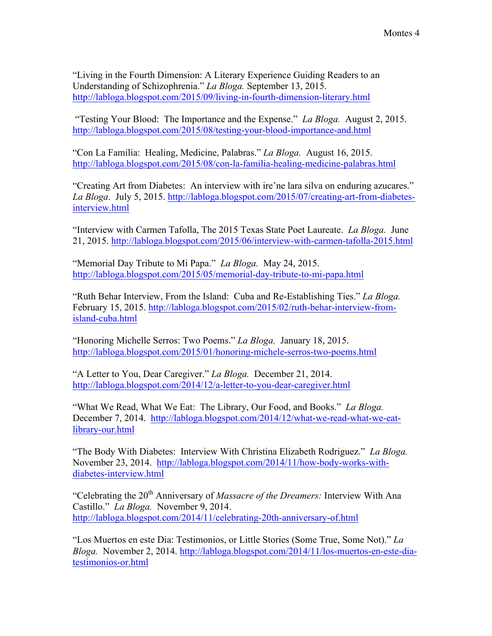"Living in the Fourth Dimension: A Literary Experience Guiding Readers to an Understanding of Schizophrenia." *La Bloga.* September 13, 2015. http://labloga.blogspot.com/2015/09/living-in-fourth-dimension-literary.html

"Testing Your Blood: The Importance and the Expense." *La Bloga.* August 2, 2015. http://labloga.blogspot.com/2015/08/testing-your-blood-importance-and.html

"Con La Familia: Healing, Medicine, Palabras." *La Bloga.* August 16, 2015. http://labloga.blogspot.com/2015/08/con-la-familia-healing-medicine-palabras.html

"Creating Art from Diabetes: An interview with ire'ne lara silva on enduring azucares." *La Bloga*. July 5, 2015. http://labloga.blogspot.com/2015/07/creating-art-from-diabetesinterview.html

"Interview with Carmen Tafolla, The 2015 Texas State Poet Laureate. *La Bloga.* June 21, 2015. http://labloga.blogspot.com/2015/06/interview-with-carmen-tafolla-2015.html

"Memorial Day Tribute to Mi Papa." *La Bloga.* May 24, 2015. http://labloga.blogspot.com/2015/05/memorial-day-tribute-to-mi-papa.html

"Ruth Behar Interview, From the Island: Cuba and Re-Establishing Ties." *La Bloga.* February 15, 2015. http://labloga.blogspot.com/2015/02/ruth-behar-interview-fromisland-cuba.html

"Honoring Michelle Serros: Two Poems." *La Bloga.* January 18, 2015. http://labloga.blogspot.com/2015/01/honoring-michele-serros-two-poems.html

"A Letter to You, Dear Caregiver." *La Bloga.* December 21, 2014. http://labloga.blogspot.com/2014/12/a-letter-to-you-dear-caregiver.html

"What We Read, What We Eat: The Library, Our Food, and Books." *La Bloga.* December 7, 2014. http://labloga.blogspot.com/2014/12/what-we-read-what-we-eatlibrary-our.html

"The Body With Diabetes: Interview With Christina Elizabeth Rodriguez." *La Bloga.* November 23, 2014. http://labloga.blogspot.com/2014/11/how-body-works-withdiabetes-interview.html

"Celebrating the 20<sup>th</sup> Anniversary of *Massacre of the Dreamers*: Interview With Ana Castillo." *La Bloga.* November 9, 2014. http://labloga.blogspot.com/2014/11/celebrating-20th-anniversary-of.html

"Los Muertos en este Dia: Testimonios, or Little Stories (Some True, Some Not)." *La Bloga.* November 2, 2014. http://labloga.blogspot.com/2014/11/los-muertos-en-este-diatestimonios-or.html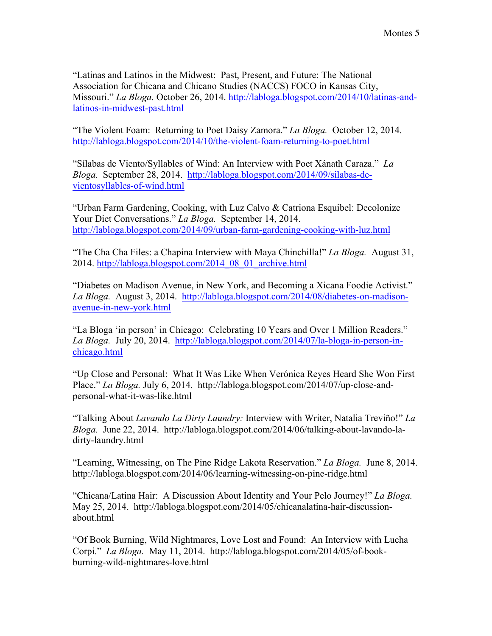"Latinas and Latinos in the Midwest: Past, Present, and Future: The National Association for Chicana and Chicano Studies (NACCS) FOCO in Kansas City, Missouri." *La Bloga.* October 26, 2014. http://labloga.blogspot.com/2014/10/latinas-andlatinos-in-midwest-past.html

"The Violent Foam: Returning to Poet Daisy Zamora." *La Bloga.* October 12, 2014. http://labloga.blogspot.com/2014/10/the-violent-foam-returning-to-poet.html

"Sílabas de Viento/Syllables of Wind: An Interview with Poet Xánath Caraza." *La Bloga.* September 28, 2014. http://labloga.blogspot.com/2014/09/silabas-devientosyllables-of-wind.html

"Urban Farm Gardening, Cooking, with Luz Calvo & Catriona Esquibel: Decolonize Your Diet Conversations." *La Bloga.* September 14, 2014. http://labloga.blogspot.com/2014/09/urban-farm-gardening-cooking-with-luz.html

"The Cha Cha Files: a Chapina Interview with Maya Chinchilla!" *La Bloga.* August 31, 2014. http://labloga.blogspot.com/2014\_08\_01\_archive.html

"Diabetes on Madison Avenue, in New York, and Becoming a Xicana Foodie Activist." *La Bloga.* August 3, 2014. http://labloga.blogspot.com/2014/08/diabetes-on-madisonavenue-in-new-york.html

"La Bloga 'in person' in Chicago: Celebrating 10 Years and Over 1 Million Readers." *La Bloga.* July 20, 2014. http://labloga.blogspot.com/2014/07/la-bloga-in-person-inchicago.html

"Up Close and Personal: What It Was Like When Verónica Reyes Heard She Won First Place." *La Bloga.* July 6, 2014. http://labloga.blogspot.com/2014/07/up-close-andpersonal-what-it-was-like.html

"Talking About *Lavando La Dirty Laundry:* Interview with Writer, Natalia Treviño!" *La Bloga.* June 22, 2014. http://labloga.blogspot.com/2014/06/talking-about-lavando-ladirty-laundry.html

"Learning, Witnessing, on The Pine Ridge Lakota Reservation." *La Bloga.* June 8, 2014. http://labloga.blogspot.com/2014/06/learning-witnessing-on-pine-ridge.html

"Chicana/Latina Hair: A Discussion About Identity and Your Pelo Journey!" *La Bloga.* May 25, 2014. http://labloga.blogspot.com/2014/05/chicanalatina-hair-discussionabout.html

"Of Book Burning, Wild Nightmares, Love Lost and Found: An Interview with Lucha Corpi." *La Bloga.* May 11, 2014. http://labloga.blogspot.com/2014/05/of-bookburning-wild-nightmares-love.html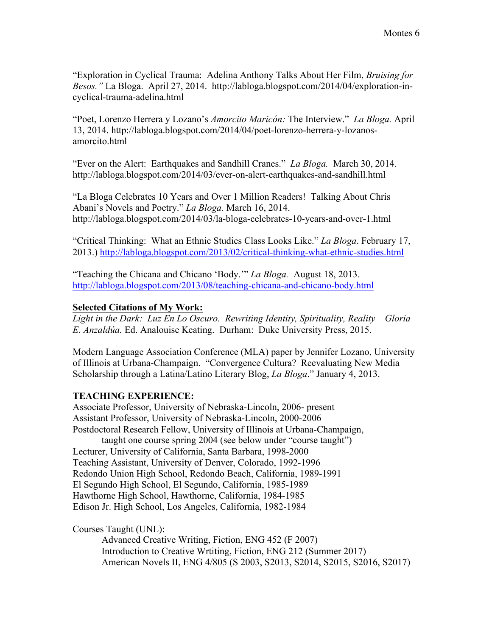"Exploration in Cyclical Trauma: Adelina Anthony Talks About Her Film, *Bruising for Besos."* La Bloga. April 27, 2014. http://labloga.blogspot.com/2014/04/exploration-incyclical-trauma-adelina.html

"Poet, Lorenzo Herrera y Lozano's *Amorcito Maricón:* The Interview." *La Bloga.* April 13, 2014. http://labloga.blogspot.com/2014/04/poet-lorenzo-herrera-y-lozanosamorcito.html

"Ever on the Alert: Earthquakes and Sandhill Cranes." *La Bloga.* March 30, 2014. http://labloga.blogspot.com/2014/03/ever-on-alert-earthquakes-and-sandhill.html

"La Bloga Celebrates 10 Years and Over 1 Million Readers! Talking About Chris Abani's Novels and Poetry." *La Bloga.* March 16, 2014. http://labloga.blogspot.com/2014/03/la-bloga-celebrates-10-years-and-over-1.html

"Critical Thinking: What an Ethnic Studies Class Looks Like." *La Bloga*. February 17, 2013.) http://labloga.blogspot.com/2013/02/critical-thinking-what-ethnic-studies.html

"Teaching the Chicana and Chicano 'Body.'" *La Bloga.* August 18, 2013. http://labloga.blogspot.com/2013/08/teaching-chicana-and-chicano-body.html

## **Selected Citations of My Work:**

*Light in the Dark: Luz En Lo Oscuro. Rewriting Identity, Spirituality, Reality – Gloria E. Anzaldúa.* Ed. Analouise Keating. Durham: Duke University Press, 2015.

Modern Language Association Conference (MLA) paper by Jennifer Lozano, University of Illinois at Urbana-Champaign. "Convergence Cultura? Reevaluating New Media Scholarship through a Latina/Latino Literary Blog, *La Bloga*." January 4, 2013.

#### **TEACHING EXPERIENCE:**

Associate Professor, University of Nebraska-Lincoln, 2006- present Assistant Professor, University of Nebraska-Lincoln, 2000-2006 Postdoctoral Research Fellow, University of Illinois at Urbana-Champaign,

taught one course spring 2004 (see below under "course taught") Lecturer, University of California, Santa Barbara, 1998-2000 Teaching Assistant, University of Denver, Colorado, 1992-1996 Redondo Union High School, Redondo Beach, California, 1989-1991 El Segundo High School, El Segundo, California, 1985-1989 Hawthorne High School, Hawthorne, California, 1984-1985 Edison Jr. High School, Los Angeles, California, 1982-1984

Courses Taught (UNL):

Advanced Creative Writing, Fiction, ENG 452 (F 2007) Introduction to Creative Wrtiting, Fiction, ENG 212 (Summer 2017) American Novels II, ENG 4/805 (S 2003, S2013, S2014, S2015, S2016, S2017)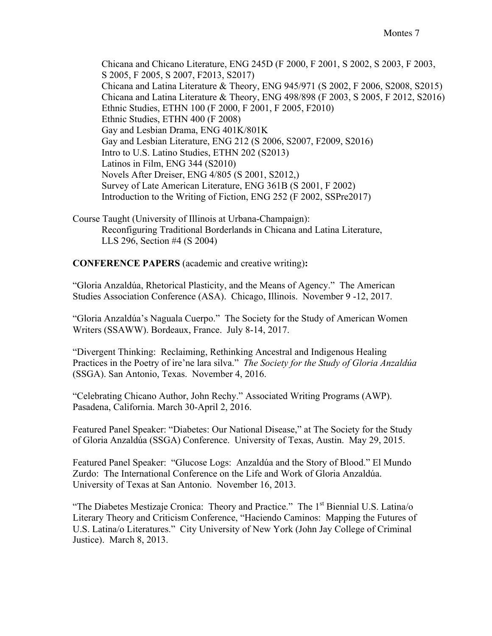Chicana and Chicano Literature, ENG 245D (F 2000, F 2001, S 2002, S 2003, F 2003, S 2005, F 2005, S 2007, F2013, S2017) Chicana and Latina Literature & Theory, ENG 945/971 (S 2002, F 2006, S2008, S2015) Chicana and Latina Literature & Theory, ENG 498/898 (F 2003, S 2005, F 2012, S2016) Ethnic Studies, ETHN 100 (F 2000, F 2001, F 2005, F2010) Ethnic Studies, ETHN 400 (F 2008) Gay and Lesbian Drama, ENG 401K/801K Gay and Lesbian Literature, ENG 212 (S 2006, S2007, F2009, S2016) Intro to U.S. Latino Studies, ETHN 202 (S2013) Latinos in Film, ENG 344 (S2010) Novels After Dreiser, ENG 4/805 (S 2001, S2012,) Survey of Late American Literature, ENG 361B (S 2001, F 2002) Introduction to the Writing of Fiction, ENG 252 (F 2002, SSPre2017)

Course Taught (University of Illinois at Urbana-Champaign): Reconfiguring Traditional Borderlands in Chicana and Latina Literature, LLS 296, Section #4 (S 2004)

**CONFERENCE PAPERS** (academic and creative writing)**:**

"Gloria Anzaldúa, Rhetorical Plasticity, and the Means of Agency." The American Studies Association Conference (ASA). Chicago, Illinois. November 9 -12, 2017.

"Gloria Anzaldúa's Naguala Cuerpo." The Society for the Study of American Women Writers (SSAWW). Bordeaux, France. July 8-14, 2017.

"Divergent Thinking: Reclaiming, Rethinking Ancestral and Indigenous Healing Practices in the Poetry of ire'ne lara silva." *The Society for the Study of Gloria Anzaldúa* (SSGA). San Antonio, Texas. November 4, 2016.

"Celebrating Chicano Author, John Rechy." Associated Writing Programs (AWP). Pasadena, California. March 30-April 2, 2016.

Featured Panel Speaker: "Diabetes: Our National Disease," at The Society for the Study of Gloria Anzaldúa (SSGA) Conference. University of Texas, Austin. May 29, 2015.

Featured Panel Speaker: "Glucose Logs: Anzaldúa and the Story of Blood." El Mundo Zurdo: The International Conference on the Life and Work of Gloria Anzaldúa. University of Texas at San Antonio. November 16, 2013.

"The Diabetes Mestizaje Cronica: Theory and Practice." The 1<sup>st</sup> Biennial U.S. Latina/o Literary Theory and Criticism Conference, "Haciendo Caminos: Mapping the Futures of U.S. Latina/o Literatures." City University of New York (John Jay College of Criminal Justice). March 8, 2013.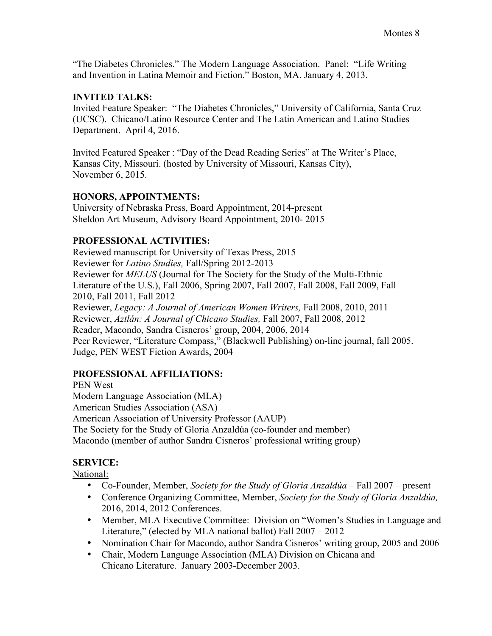"The Diabetes Chronicles." The Modern Language Association. Panel: "Life Writing and Invention in Latina Memoir and Fiction." Boston, MA. January 4, 2013.

## **INVITED TALKS:**

Invited Feature Speaker: "The Diabetes Chronicles," University of California, Santa Cruz (UCSC). Chicano/Latino Resource Center and The Latin American and Latino Studies Department. April 4, 2016.

Invited Featured Speaker : "Day of the Dead Reading Series" at The Writer's Place, Kansas City, Missouri. (hosted by University of Missouri, Kansas City), November 6, 2015.

# **HONORS, APPOINTMENTS:**

University of Nebraska Press, Board Appointment, 2014-present Sheldon Art Museum, Advisory Board Appointment, 2010- 2015

# **PROFESSIONAL ACTIVITIES:**

Reviewed manuscript for University of Texas Press, 2015 Reviewer for *Latino Studies,* Fall/Spring 2012-2013 Reviewer for *MELUS* (Journal for The Society for the Study of the Multi-Ethnic Literature of the U.S.), Fall 2006, Spring 2007, Fall 2007, Fall 2008, Fall 2009, Fall 2010, Fall 2011, Fall 2012 Reviewer, *Legacy: A Journal of American Women Writers,* Fall 2008, 2010, 2011 Reviewer, *Aztlán: A Journal of Chicano Studies,* Fall 2007, Fall 2008, 2012 Reader, Macondo, Sandra Cisneros' group, 2004, 2006, 2014 Peer Reviewer, "Literature Compass," (Blackwell Publishing) on-line journal, fall 2005. Judge, PEN WEST Fiction Awards, 2004

# **PROFESSIONAL AFFILIATIONS:**

PEN West Modern Language Association (MLA) American Studies Association (ASA) American Association of University Professor (AAUP) The Society for the Study of Gloria Anzaldúa (co-founder and member) Macondo (member of author Sandra Cisneros' professional writing group)

# **SERVICE:**

National:

- Co-Founder, Member, *Society for the Study of Gloria Anzaldúa* Fall 2007 present
- Conference Organizing Committee, Member, *Society for the Study of Gloria Anzaldúa,* 2016, 2014, 2012 Conferences.
- Member, MLA Executive Committee: Division on "Women's Studies in Language and Literature," (elected by MLA national ballot) Fall 2007 – 2012
- Nomination Chair for Macondo, author Sandra Cisneros' writing group, 2005 and 2006
- Chair, Modern Language Association (MLA) Division on Chicana and Chicano Literature. January 2003-December 2003.